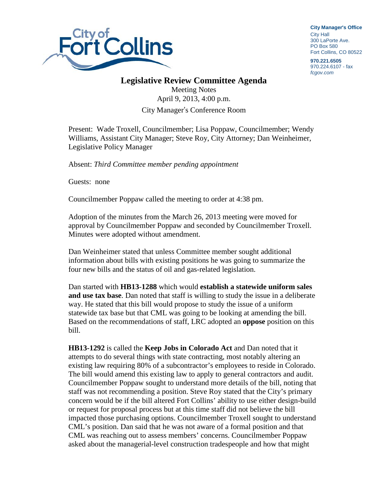

**City Manager**'**s Office** City Hall 300 LaPorte Ave. PO Box 580 Fort Collins, CO 80522

**970.221.6505** 970.224.6107 - fax *fcgov.com*

## **Legislative Review Committee Agenda**

Meeting Notes April 9, 2013, 4:00 p.m. City Manager's Conference Room

Present: Wade Troxell, Councilmember; Lisa Poppaw, Councilmember; Wendy Williams, Assistant City Manager; Steve Roy, City Attorney; Dan Weinheimer, Legislative Policy Manager

Absent: *Third Committee member pending appointment*

Guests: none

Councilmember Poppaw called the meeting to order at 4:38 pm.

Adoption of the minutes from the March 26, 2013 meeting were moved for approval by Councilmember Poppaw and seconded by Councilmember Troxell. Minutes were adopted without amendment.

Dan Weinheimer stated that unless Committee member sought additional information about bills with existing positions he was going to summarize the four new bills and the status of oil and gas-related legislation.

Dan started with **HB13-1288** which would **establish a statewide uniform sales and use tax base**. Dan noted that staff is willing to study the issue in a deliberate way. He stated that this bill would propose to study the issue of a uniform statewide tax base but that CML was going to be looking at amending the bill. Based on the recommendations of staff, LRC adopted an **oppose** position on this bill.

**HB13-1292** is called the **Keep Jobs in Colorado Act** and Dan noted that it attempts to do several things with state contracting, most notably altering an existing law requiring 80% of a subcontractor's employees to reside in Colorado. The bill would amend this existing law to apply to general contractors and audit. Councilmember Poppaw sought to understand more details of the bill, noting that staff was not recommending a position. Steve Roy stated that the City's primary concern would be if the bill altered Fort Collins' ability to use either design-build or request for proposal process but at this time staff did not believe the bill impacted those purchasing options. Councilmember Troxell sought to understand CML's position. Dan said that he was not aware of a formal position and that CML was reaching out to assess members' concerns. Councilmember Poppaw asked about the managerial-level construction tradespeople and how that might